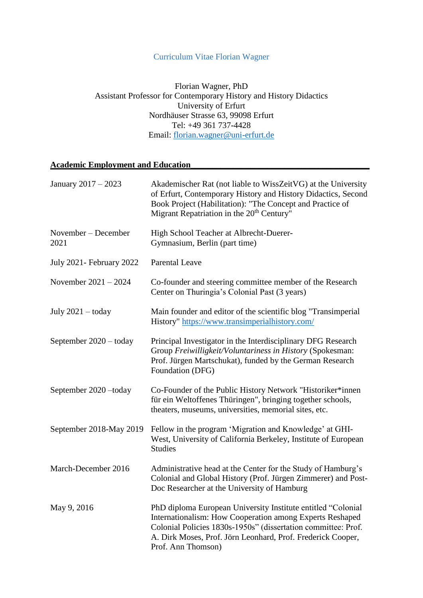## Curriculum Vitae Florian Wagner

Florian Wagner, PhD Assistant Professor for Contemporary History and History Didactics University of Erfurt Nordhäuser Strasse 63, 99098 Erfurt Tel: +49 361 737-4428 Email: [florian.wagner@uni-erfurt.de](mailto:florian.wagner@uni-erfurt.de)

# **Academic Employment and Education\_\_\_\_\_\_\_\_\_\_\_\_\_\_\_\_\_\_\_\_\_\_\_\_\_\_\_\_\_\_\_\_\_\_\_\_\_\_\_\_\_\_**

| January 2017 - 2023             | Akademischer Rat (not liable to WissZeitVG) at the University<br>of Erfurt, Contemporary History and History Didactics, Second<br>Book Project (Habilitation): "The Concept and Practice of<br>Migrant Repatriation in the 20 <sup>th</sup> Century"                           |
|---------------------------------|--------------------------------------------------------------------------------------------------------------------------------------------------------------------------------------------------------------------------------------------------------------------------------|
| November – December<br>2021     | High School Teacher at Albrecht-Duerer-<br>Gymnasium, Berlin (part time)                                                                                                                                                                                                       |
| <b>July 2021- February 2022</b> | <b>Parental Leave</b>                                                                                                                                                                                                                                                          |
| November $2021 - 2024$          | Co-founder and steering committee member of the Research<br>Center on Thuringia's Colonial Past (3 years)                                                                                                                                                                      |
| July $2021 -$ today             | Main founder and editor of the scientific blog "Transimperial"<br>History" https://www.transimperialhistory.com/                                                                                                                                                               |
| September 2020 - today          | Principal Investigator in the Interdisciplinary DFG Research<br>Group Freiwilligkeit/Voluntariness in History (Spokesman:<br>Prof. Jürgen Martschukat), funded by the German Research<br>Foundation (DFG)                                                                      |
| September 2020 - today          | Co-Founder of the Public History Network "Historiker*innen<br>für ein Weltoffenes Thüringen", bringing together schools,<br>theaters, museums, universities, memorial sites, etc.                                                                                              |
| September 2018-May 2019         | Fellow in the program 'Migration and Knowledge' at GHI-<br>West, University of California Berkeley, Institute of European<br><b>Studies</b>                                                                                                                                    |
| March-December 2016             | Administrative head at the Center for the Study of Hamburg's<br>Colonial and Global History (Prof. Jürgen Zimmerer) and Post-<br>Doc Researcher at the University of Hamburg                                                                                                   |
| May 9, 2016                     | PhD diploma European University Institute entitled "Colonial<br>Internationalism: How Cooperation among Experts Reshaped<br>Colonial Policies 1830s-1950s" (dissertation committee: Prof.<br>A. Dirk Moses, Prof. Jörn Leonhard, Prof. Frederick Cooper,<br>Prof. Ann Thomson) |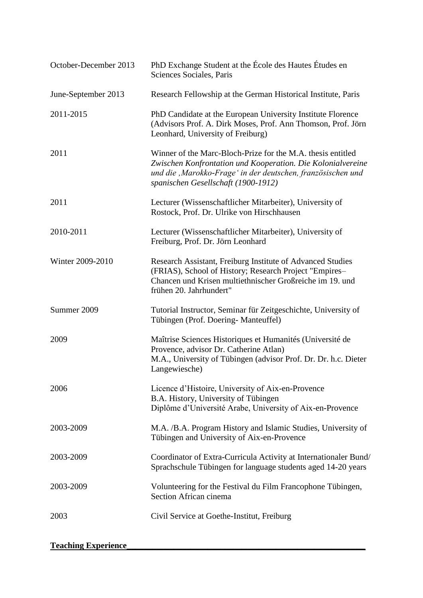| October-December 2013      | PhD Exchange Student at the École des Hautes Études en<br>Sciences Sociales, Paris                                                                                                                                                |
|----------------------------|-----------------------------------------------------------------------------------------------------------------------------------------------------------------------------------------------------------------------------------|
| June-September 2013        | Research Fellowship at the German Historical Institute, Paris                                                                                                                                                                     |
| 2011-2015                  | PhD Candidate at the European University Institute Florence<br>(Advisors Prof. A. Dirk Moses, Prof. Ann Thomson, Prof. Jörn<br>Leonhard, University of Freiburg)                                                                  |
| 2011                       | Winner of the Marc-Bloch-Prize for the M.A. thesis entitled<br>Zwischen Konfrontation und Kooperation. Die Kolonialvereine<br>und die , Marokko-Frage' in der deutschen, französischen und<br>spanischen Gesellschaft (1900-1912) |
| 2011                       | Lecturer (Wissenschaftlicher Mitarbeiter), University of<br>Rostock, Prof. Dr. Ulrike von Hirschhausen                                                                                                                            |
| 2010-2011                  | Lecturer (Wissenschaftlicher Mitarbeiter), University of<br>Freiburg, Prof. Dr. Jörn Leonhard                                                                                                                                     |
| Winter 2009-2010           | Research Assistant, Freiburg Institute of Advanced Studies<br>(FRIAS), School of History; Research Project "Empires-<br>Chancen und Krisen multiethnischer Großreiche im 19. und<br>frühen 20. Jahrhundert"                       |
| Summer 2009                | Tutorial Instructor, Seminar für Zeitgeschichte, University of<br>Tübingen (Prof. Doering- Manteuffel)                                                                                                                            |
| 2009                       | Maîtrise Sciences Historiques et Humanités (Université de<br>Provence, advisor Dr. Catherine Atlan)<br>M.A., University of Tübingen (advisor Prof. Dr. Dr. h.c. Dieter<br>Langewiesche)                                           |
| 2006                       | Licence d'Histoire, University of Aix-en-Provence<br>B.A. History, University of Tübingen<br>Diplôme d'Université Arabe, University of Aix-en-Provence                                                                            |
| 2003-2009                  | M.A. /B.A. Program History and Islamic Studies, University of<br>Tübingen and University of Aix-en-Provence                                                                                                                       |
| 2003-2009                  | Coordinator of Extra-Curricula Activity at Internationaler Bund/<br>Sprachschule Tübingen for language students aged 14-20 years                                                                                                  |
| 2003-2009                  | Volunteering for the Festival du Film Francophone Tübingen,<br>Section African cinema                                                                                                                                             |
| 2003                       | Civil Service at Goethe-Institut, Freiburg                                                                                                                                                                                        |
| <b>Teaching Experience</b> |                                                                                                                                                                                                                                   |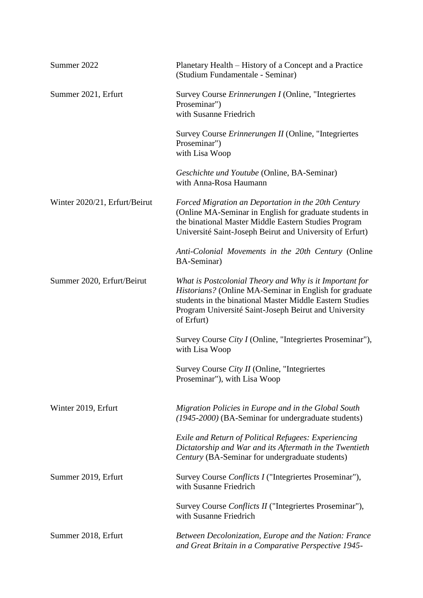| Summer 2022                   | Planetary Health – History of a Concept and a Practice<br>(Studium Fundamentale - Seminar)                                                                                                                                                           |
|-------------------------------|------------------------------------------------------------------------------------------------------------------------------------------------------------------------------------------------------------------------------------------------------|
| Summer 2021, Erfurt           | Survey Course Erinnerungen I (Online, "Integriertes<br>Proseminar")<br>with Susanne Friedrich                                                                                                                                                        |
|                               | Survey Course <i>Erinnerungen II</i> (Online, "Integriertes<br>Proseminar")<br>with Lisa Woop                                                                                                                                                        |
|                               | Geschichte und Youtube (Online, BA-Seminar)<br>with Anna-Rosa Haumann                                                                                                                                                                                |
| Winter 2020/21, Erfurt/Beirut | Forced Migration an Deportation in the 20th Century<br>(Online MA-Seminar in English for graduate students in<br>the binational Master Middle Eastern Studies Program<br>Université Saint-Joseph Beirut and University of Erfurt)                    |
|                               | Anti-Colonial Movements in the 20th Century (Online<br>BA-Seminar)                                                                                                                                                                                   |
| Summer 2020, Erfurt/Beirut    | What is Postcolonial Theory and Why is it Important for<br>Historians? (Online MA-Seminar in English for graduate<br>students in the binational Master Middle Eastern Studies<br>Program Université Saint-Joseph Beirut and University<br>of Erfurt) |
|                               | Survey Course City I (Online, "Integriertes Proseminar"),<br>with Lisa Woop                                                                                                                                                                          |
|                               | Survey Course <i>City II</i> (Online, "Integriertes<br>Proseminar"), with Lisa Woop                                                                                                                                                                  |
| Winter 2019, Erfurt           | Migration Policies in Europe and in the Global South<br>(1945-2000) (BA-Seminar for undergraduate students)                                                                                                                                          |
|                               | Exile and Return of Political Refugees: Experiencing<br>Dictatorship and War and its Aftermath in the Twentieth<br>Century (BA-Seminar for undergraduate students)                                                                                   |
| Summer 2019, Erfurt           | Survey Course Conflicts I ("Integriertes Proseminar"),<br>with Susanne Friedrich                                                                                                                                                                     |
|                               | Survey Course Conflicts II ("Integriertes Proseminar"),<br>with Susanne Friedrich                                                                                                                                                                    |
| Summer 2018, Erfurt           | Between Decolonization, Europe and the Nation: France<br>and Great Britain in a Comparative Perspective 1945-                                                                                                                                        |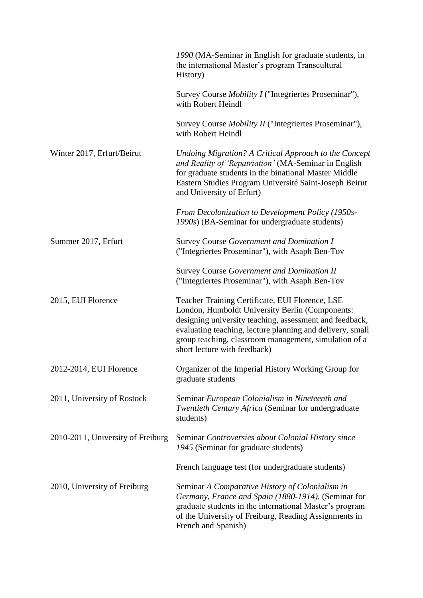|                                   | 1990 (MA-Seminar in English for graduate students, in<br>the international Master's program Transcultural<br>History)                                                                                                                                                                                               |
|-----------------------------------|---------------------------------------------------------------------------------------------------------------------------------------------------------------------------------------------------------------------------------------------------------------------------------------------------------------------|
|                                   | Survey Course <i>Mobility I</i> ("Integriertes Proseminar"),<br>with Robert Heindl                                                                                                                                                                                                                                  |
|                                   | Survey Course <i>Mobility II</i> ("Integriertes Proseminar"),<br>with Robert Heindl                                                                                                                                                                                                                                 |
| Winter 2017, Erfurt/Beirut        | Undoing Migration? A Critical Approach to the Concept<br>and Reality of 'Repatriation' (MA-Seminar in English<br>for graduate students in the binational Master Middle<br>Eastern Studies Program Université Saint-Joseph Beirut<br>and University of Erfurt)                                                       |
|                                   | From Decolonization to Development Policy (1950s-<br>1990s) (BA-Seminar for undergraduate students)                                                                                                                                                                                                                 |
| Summer 2017, Erfurt               | Survey Course Government and Domination I<br>("Integriertes Proseminar"), with Asaph Ben-Tov                                                                                                                                                                                                                        |
|                                   | <b>Survey Course Government and Domination II</b><br>("Integriertes Proseminar"), with Asaph Ben-Tov                                                                                                                                                                                                                |
| 2015, EUI Florence                | Teacher Training Certificate, EUI Florence, LSE<br>London, Humboldt University Berlin (Components:<br>designing university teaching, assessment and feedback,<br>evaluating teaching, lecture planning and delivery, small<br>group teaching, classroom management, simulation of a<br>short lecture with feedback) |
| 2012-2014, EUI Florence           | Organizer of the Imperial History Working Group for<br>graduate students                                                                                                                                                                                                                                            |
| 2011, University of Rostock       | Seminar European Colonialism in Nineteenth and<br>Twentieth Century Africa (Seminar for undergraduate<br>students)                                                                                                                                                                                                  |
| 2010-2011, University of Freiburg | Seminar Controversies about Colonial History since<br>1945 (Seminar for graduate students)                                                                                                                                                                                                                          |
|                                   | French language test (for undergraduate students)                                                                                                                                                                                                                                                                   |
| 2010, University of Freiburg      | Seminar A Comparative History of Colonialism in<br>Germany, France and Spain (1880-1914), (Seminar for<br>graduate students in the international Master's program<br>of the University of Freiburg, Reading Assignments in<br>French and Spanish)                                                                   |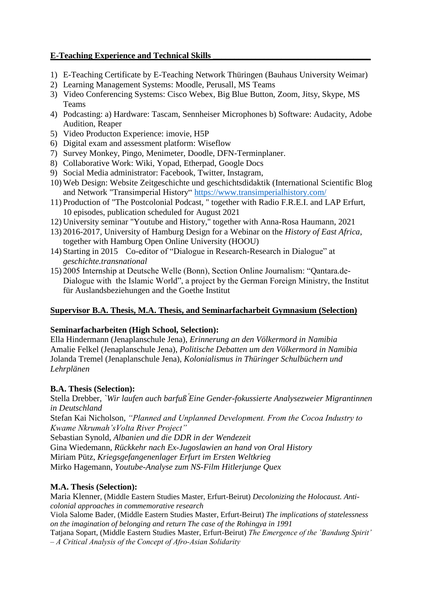## **E-Teaching Experience and Technical Skills**

- 1) E-Teaching Certificate by E-Teaching Network Thüringen (Bauhaus University Weimar)
- 2) Learning Management Systems: Moodle, Perusall, MS Teams
- 3) Video Conferencing Systems: Cisco Webex, Big Blue Button, Zoom, Jitsy, Skype, MS Teams
- 4) Podcasting: a) Hardware: Tascam, Sennheiser Microphones b) Software: Audacity, Adobe Audition, Reaper
- 5) Video Producton Experience: imovie, H5P
- 6) Digital exam and assessment platform: Wiseflow
- 7) Survey Monkey, Pingo, Menimeter, Doodle, DFN-Terminplaner.
- 8) Collaborative Work: Wiki, Yopad, Etherpad, Google Docs
- 9) Social Media administrator: Facebook, Twitter, Instagram,
- 10) Web Design: Website Zeitgeschichte und geschichtsdidaktik (International Scientific Blog and Network "Transimperial History" <https://www.transimperialhistory.com/>
- 11) Production of "The Postcolonial Podcast, " together with Radio F.R.E.I. and LAP Erfurt, 10 episodes, publication scheduled for August 2021
- 12) University seminar "Youtube and History," together with Anna-Rosa Haumann, 2021
- 13) 2016-2017, University of Hamburg Design for a Webinar on the *History of East Africa*, together with Hamburg Open Online University (HOOU)
- 14) Starting in 2015 Co-editor of "Dialogue in Research-Research in Dialogue" at *geschichte.transnational*
- 15) 2005 Internship at Deutsche Welle (Bonn), Section Online Journalism: "Qantara.de-Dialogue with the Islamic World", a project by the German Foreign Ministry, the Institut für Auslandsbeziehungen and the Goethe Institut

## **Supervisor B.A. Thesis, M.A. Thesis, and Seminarfacharbeit Gymnasium (Selection)**

# **Seminarfacharbeiten (High School, Selection):**

Ella Hindermann (Jenaplanschule Jena), *Erinnerung an den Völkermord in Namibia* Amalie Felkel (Jenaplanschule Jena), *Politische Debatten um den Völkermord in Namibia* Jolanda Tremel (Jenaplanschule Jena), *Kolonialismus in Thüringer Schulbüchern und Lehrplänen*

# **B.A. Thesis (Selection):**

Stella Drebber, *`Wir laufen auch barfuß ́Eine Gender-fokussierte Analysezweier Migrantinnen in Deutschland*

Stefan Kai Nicholson, *"Planned and Unplanned Development. From the Cocoa Industry to Kwame Nkrumah'sVolta River Project"*

Sebastian Synold, *Albanien und die DDR in der Wendezeit*

Gina Wiedemann, *Rückkehr nach Ex-Jugoslawien an hand von Oral History*

Miriam Pütz, *Kriegsgefangenenlager Erfurt im Ersten Weltkrieg*

Mirko Hagemann, *Youtube-Analyse zum NS-Film Hitlerjunge Quex*

# **M.A. Thesis (Selection):**

Maria Klenner, (Middle Eastern Studies Master, Erfurt-Beirut) *Decolonizing the Holocaust. Anticolonial approaches in commemorative research*

Viola Salome Bader, (Middle Eastern Studies Master, Erfurt-Beirut) *The implications of statelessness on the imagination of belonging and return The case of the Rohingya in 1991*

Tatjana Sopart, (Middle Eastern Studies Master, Erfurt-Beirut) *The Emergence of the 'Bandung Spirit' – A Critical Analysis of the Concept of Afro‐Asian Solidarity*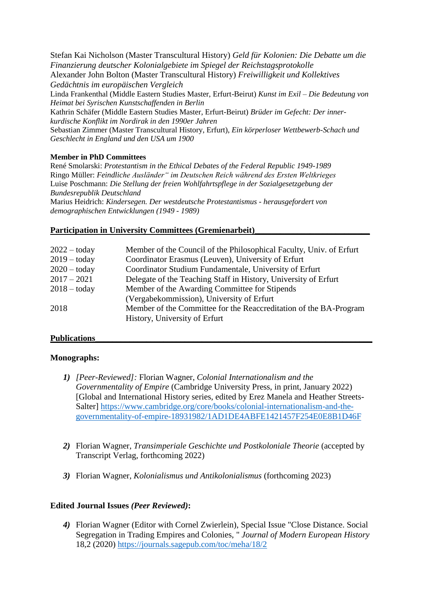Stefan Kai Nicholson (Master Transcultural History) *Geld für Kolonien: Die Debatte um die Finanzierung deutscher Kolonialgebiete im Spiegel der Reichstagsprotokolle*

Alexander John Bolton (Master Transcultural History) *Freiwilligkeit und Kollektives Gedächtnis im europäischen Vergleich*

Linda Frankenthal (Middle Eastern Studies Master, Erfurt-Beirut) *Kunst im Exil – Die Bedeutung von Heimat bei Syrischen Kunstschaffenden in Berlin*

Kathrin Schäfer (Middle Eastern Studies Master, Erfurt-Beirut) *Brüder im Gefecht: Der innerkurdische Konflikt im Nordirak in den 1990er Jahren*

Sebastian Zimmer (Master Transcultural History, Erfurt), *Ein körperloser Wettbewerb-Schach und Geschlecht in England und den USA um 1900*

#### **Member in PhD Committees**

René Smolarski: *Protestantism in the Ethical Debates of the Federal Republic 1949-1989* Ringo Müller: *Feindliche Ausländer" im Deutschen Reich während des Ersten Weltkrieges* Luise Poschmann: *Die Stellung der freien Wohlfahrtspflege in der Sozialgesetzgebung der Bundesrepublik Deutschland*

Marius Heidrich: *Kindersegen. Der westdeutsche Protestantismus - herausgefordert von demographischen Entwicklungen (1949 - 1989)*

#### Participation in University Committees (Gremienarbeit)

| Member of the Council of the Philosophical Faculty, Univ. of Erfurt |
|---------------------------------------------------------------------|
| Coordinator Erasmus (Leuven), University of Erfurt                  |
| Coordinator Studium Fundamentale, University of Erfurt              |
| Delegate of the Teaching Staff in History, University of Erfurt     |
| Member of the Awarding Committee for Stipends                       |
| (Vergabekommission), University of Erfurt                           |
| Member of the Committee for the Reaccreditation of the BA-Program   |
| History, University of Erfurt                                       |
|                                                                     |

## **Publications\_\_\_\_\_\_\_\_\_\_\_\_\_\_\_\_\_\_\_\_\_\_\_\_\_\_\_\_\_\_\_\_\_\_\_\_\_\_\_\_\_\_\_\_\_\_\_\_\_\_\_\_\_\_\_\_\_\_\_\_\_\_\_\_\_**

#### **Monographs:**

- *1) [Peer-Reviewed]:* Florian Wagner, *Colonial Internationalism and the Governmentality of Empire* (Cambridge University Press, in print, January 2022) [Global and International History series, edited by Erez Manela and Heather Streets-Salter] [https://www.cambridge.org/core/books/colonial-internationalism-and-the](https://www.cambridge.org/core/books/colonial-internationalism-and-the-governmentality-of-empire-18931982/1AD1DE4ABFE1421457F254E0E8B1D46F)[governmentality-of-empire-18931982/1AD1DE4ABFE1421457F254E0E8B1D46F](https://www.cambridge.org/core/books/colonial-internationalism-and-the-governmentality-of-empire-18931982/1AD1DE4ABFE1421457F254E0E8B1D46F)
- *2)* Florian Wagner, *Transimperiale Geschichte und Postkoloniale Theorie* (accepted by Transcript Verlag, forthcoming 2022)
- *3)* Florian Wagner, *Kolonialismus und Antikolonialismus* (forthcoming 2023)

#### **Edited Journal Issues** *(Peer Reviewed)***:**

*4)* Florian Wagner (Editor with Cornel Zwierlein), Special Issue "Close Distance. Social Segregation in Trading Empires and Colonies, " *Journal of Modern European History* 18,2 (2020)<https://journals.sagepub.com/toc/meha/18/2>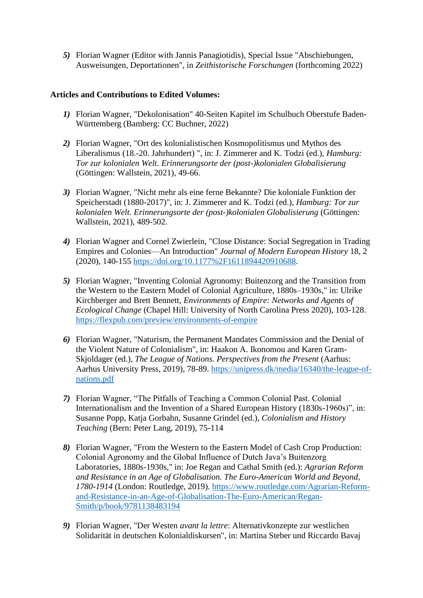*5)* Florian Wagner (Editor with Jannis Panagiotidis), Special Issue "Abschiebungen, Ausweisungen, Deportationen", in *Zeithistorische Forschungen* (forthcoming 2022)

### **Articles and Contributions to Edited Volumes:**

- *1)* Florian Wagner, "Dekolonisation" 40-Seiten Kapitel im Schulbuch Oberstufe Baden-Württemberg (Bamberg: CC Buchner, 2022)
- *2)* Florian Wagner, "Ort des kolonialistischen Kosmopolitismus und Mythos des Liberalismus (18.-20. Jahrhundert) ", in: J. Zimmerer and K. Todzi (ed.), *Hamburg: Tor zur kolonialen Welt. Erinnerungsorte der (post-)kolonialen Globalisierung*  (Göttingen: Wallstein, 2021), 49-66.
- *3)* Florian Wagner, "Nicht mehr als eine ferne Bekannte? Die koloniale Funktion der Speicherstadt (1880-2017)", in: J. Zimmerer and K. Todzi (ed.), *Hamburg: Tor zur kolonialen Welt. Erinnerungsorte der (post-)kolonialen Globalisierung* (Göttingen: Wallstein, 2021), 489-502.
- *4)* Florian Wagner and Cornel Zwierlein, "Close Distance: Social Segregation in Trading Empires and Colonies—An Introduction" *Journal of Modern European History* 18, 2 (2020), 140-155 [https://doi.org/10.1177%2F1611894420910688.](https://doi.org/10.1177%2F1611894420910688)
- *5)* Florian Wagner, "Inventing Colonial Agronomy: Buitenzorg and the Transition from the Western to the Eastern Model of Colonial Agriculture, 1880s–1930s," in: Ulrike Kirchberger and Brett Bennett, *Environments of Empire: Networks and Agents of Ecological Change* (Chapel Hill: University of North Carolina Press 2020), 103-128. <https://flexpub.com/preview/environments-of-empire>
- *6)* Florian Wagner, "Naturism, the Permanent Mandates Commission and the Denial of the Violent Nature of Colonialism", in: Haakon A. Ikonomou and Karen Gram-Skjoldager (ed.), *The League of Nations. Perspectives from the Present* (Aarhus: Aarhus University Press, 2019), 78-89. [https://unipress.dk/media/16340/the-league-of](https://unipress.dk/media/16340/the-league-of-nations.pdf)[nations.pdf](https://unipress.dk/media/16340/the-league-of-nations.pdf)
- *7)* Florian Wagner, "The Pitfalls of Teaching a Common Colonial Past. Colonial Internationalism and the Invention of a Shared European History (1830s-1960s)", in: Susanne Popp, Katja Gorbahn, Susanne Grindel (ed.), *Colonialism and History Teaching* (Bern: Peter Lang, 2019), 75-114
- *8)* Florian Wagner, "From the Western to the Eastern Model of Cash Crop Production: Colonial Agronomy and the Global Influence of Dutch Java's Buitenzorg Laboratories, 1880s-1930s," in: Joe Regan and Cathal Smith (ed.): *Agrarian Reform and Resistance in an Age of Globalisation. The Euro-American World and Beyond, 1780-1914* (London: Routledge, 2019). [https://www.routledge.com/Agrarian-Reform](https://www.routledge.com/Agrarian-Reform-and-Resistance-in-an-Age-of-Globalisation-The-Euro-American/Regan-Smith/p/book/9781138483194)[and-Resistance-in-an-Age-of-Globalisation-The-Euro-American/Regan-](https://www.routledge.com/Agrarian-Reform-and-Resistance-in-an-Age-of-Globalisation-The-Euro-American/Regan-Smith/p/book/9781138483194)[Smith/p/book/9781138483194](https://www.routledge.com/Agrarian-Reform-and-Resistance-in-an-Age-of-Globalisation-The-Euro-American/Regan-Smith/p/book/9781138483194)
- *9)* Florian Wagner, "Der Westen *avant la lettre*: Alternativkonzepte zur westlichen Solidarität in deutschen Kolonialdiskursen", in: Martina Steber und Riccardo Bavaj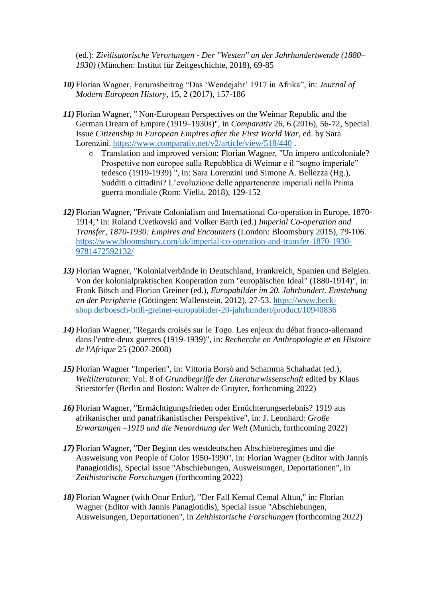(ed.): *Zivilisatorische Verortungen - Der "Westen" an der Jahrhundertwende (1880– 1930)* (München: Institut für Zeitgeschichte, 2018), 69-85

- *10)* Florian Wagner, Forumsbeitrag "Das 'Wendejahr' 1917 in Afrika", in: *Journal of Modern European History*, 15, 2 (2017), 157-186
- *11)* Florian Wagner, " Non-European Perspectives on the Weimar Republic and the German Dream of Empire (1919–1930s)", in *Comparativ* 26, 6 (2016), 56-72, Special Issue *Citizenship in European Empires after the First World War*, ed. by Sara Lorenzini. <https://www.comparativ.net/v2/article/view/518/440> .
	- o Translation and improved version: Florian Wagner, "Un impero anticoloniale? Prospettive non europee sulla Repubblica di Weimar e il "sogno imperiale" tedesco (1919-1939) ", in: Sara Lorenzini und Simone A. Bellezza (Hg.), Sudditi o cittadini? L'evoluzione delle appartenenze imperiali nella Prima guerra mondiale (Rom: Viella, 2018), 129-152
- *12)* Florian Wagner, "Private Colonialism and International Co-operation in Europe, 1870- 1914," in: Roland Cvetkovski and Volker Barth (ed.) *Imperial Co-operation and Transfer, 1870-1930: Empires and Encounters* (London: Bloomsbury 2015), 79-106. [https://www.bloomsbury.com/uk/imperial-co-operation-and-transfer-1870-1930-](https://www.bloomsbury.com/uk/imperial-co-operation-and-transfer-1870-1930-9781472592132/) [9781472592132/](https://www.bloomsbury.com/uk/imperial-co-operation-and-transfer-1870-1930-9781472592132/)
- *13)* Florian Wagner, "Kolonialverbände in Deutschland, Frankreich, Spanien und Belgien. Von der kolonialpraktischen Kooperation zum "europäischen Ideal" (1880-1914)", in: Frank Bösch and Florian Greiner (ed.), *Europabilder im 20. Jahrhundert. Entstehung an der Peripherie* (Göttingen: Wallenstein, 2012), 27-53. [https://www.beck](https://www.beck-shop.de/boesch-brill-greiner-europabilder-20-jahrhundert/product/10940836)[shop.de/boesch-brill-greiner-europabilder-20-jahrhundert/product/10940836](https://www.beck-shop.de/boesch-brill-greiner-europabilder-20-jahrhundert/product/10940836)
- *14)* Florian Wagner, "Regards croisés sur le Togo. Les enjeux du débat franco-allemand dans l'entre-deux guerres (1919-1939)", in: *Recherche en Anthropologie et en Histoire de l'Afrique* 25 (2007-2008)
- *15)* Florian Wagner "Imperien", in: Vittoria Borsò and Schamma Schahadat (ed.), *Weltliteraturen*: Vol. 8 of *Grundbegriffe der Literaturwissenschaft* edited by Klaus Stierstorfer (Berlin and Boston: Walter de Gruyter, forthcoming 2022)
- *16)* Florian Wagner, "Ermächtigungsfrieden oder Ernüchterungserlebnis? 1919 aus afrikanischer und panafrikanistischer Perspektive", in: J. Leonhard: *Große Erwartungen –1919 und die Neuordnung der Welt* (Munich, forthcoming 2022)
- *17)* Florian Wagner, "Der Beginn des westdeutschen Abschieberegimes und die Ausweisung von People of Color 1950-1990", in: Florian Wagner (Editor with Jannis Panagiotidis), Special Issue "Abschiebungen, Ausweisungen, Deportationen", in *Zeithistorische Forschungen* (forthcoming 2022)
- *18)* Florian Wagner (with Onur Erdur), "Der Fall Kemal Cemal Altun," in: Florian Wagner (Editor with Jannis Panagiotidis), Special Issue "Abschiebungen, Ausweisungen, Deportationen", in *Zeithistorische Forschungen* (forthcoming 2022)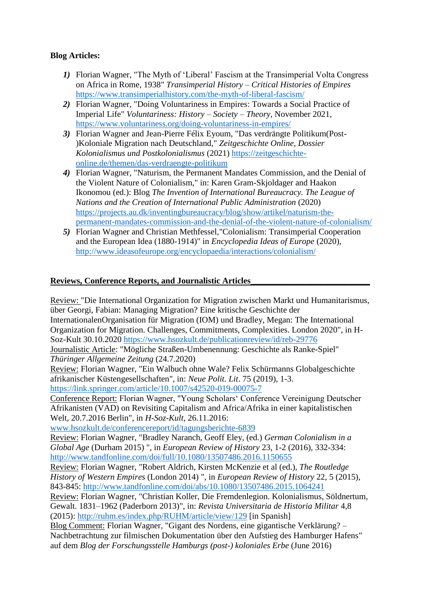## **Blog Articles:**

- *1)* Florian Wagner, "The Myth of 'Liberal' Fascism at the Transimperial Volta Congress on Africa in Rome, 1938" *Transimperial History – Critical Histories of Empires* <https://www.transimperialhistory.com/the-myth-of-liberal-fascism/>
- *2)* Florian Wagner, "Doing Voluntariness in Empires: Towards a Social Practice of Imperial Life" *Voluntariness: History – Society – Theory*, November 2021, <https://www.voluntariness.org/doing-voluntariness-in-empires/>
- *3)* Florian Wagner and Jean-Pierre Félix Eyoum, "Das verdrängte Politikum(Post- )Koloniale Migration nach Deutschland," *Zeitgeschichte Online, Dossier Kolonialismus und Postkolonialismus* (2021) [https://zeitgeschichte](https://zeitgeschichte-online.de/themen/das-verdraengte-politikum)[online.de/themen/das-verdraengte-politikum](https://zeitgeschichte-online.de/themen/das-verdraengte-politikum)
- *4)* Florian Wagner, "Naturism, the Permanent Mandates Commission, and the Denial of the Violent Nature of Colonialism," in: Karen Gram-Skjoldager and Haakon Ikonomou (ed.): Blog *The Invention of International Bureaucracy. The League of Nations and the Creation of International Public Administration* (2020) [https://projects.au.dk/inventingbureaucracy/blog/show/artikel/naturism-the](https://projects.au.dk/inventingbureaucracy/blog/show/artikel/naturism-the-permanent-mandates-commission-and-the-denial-of-the-violent-nature-of-colonialism/)[permanent-mandates-commission-and-the-denial-of-the-violent-nature-of-colonialism/](https://projects.au.dk/inventingbureaucracy/blog/show/artikel/naturism-the-permanent-mandates-commission-and-the-denial-of-the-violent-nature-of-colonialism/)
- *5)* Florian Wagner and Christian Methfessel,"Colonialism: Transimperial Cooperation and the European Idea (1880-1914)" in *Encyclopedia Ideas of Europe* (2020), <http://www.ideasofeurope.org/encyclopaedia/interactions/colonialism/>

## **Reviews, Conference Reports, and Journalistic Articles\_\_\_\_\_\_\_\_\_\_\_\_\_\_\_\_\_\_\_\_\_\_\_\_\_\_\_\_**

Review: "Die International Organization for Migration zwischen Markt und Humanitarismus, über Georgi, Fabian: Managing Migration? Eine kritische Geschichte der InternationalenOrganisation für Migration (IOM) und Bradley, Megan: The International Organization for Migration. Challenges, Commitments, Complexities. London 2020", in H-Soz-Kult 30.10.2020 <https://www.hsozkult.de/publicationreview/id/reb-29776> Journalistic Article: "Mögliche Straßen-Umbenennung: Geschichte als Ranke-Spiel" *Thüringer Allgemeine Zeitung* (24.7.2020) Review: Florian Wagner, "Ein Walbuch ohne Wale? Felix Schürmanns Globalgeschichte afrikanischer Küstengesellschaften", in: *Neue Polit. Lit*. 75 (2019), 1-3. <https://link.springer.com/article/10.1007/s42520-019-00075-7> Conference Report: Florian Wagner, "Young Scholars' Conference Vereinigung Deutscher Afrikanisten (VAD) on Revisiting Capitalism and Africa/Afrika in einer kapitalistischen Welt, 20.7.2016 Berlin", in *H-Soz-Kult*, 26.11.2016: [www.hsozkult.de/conferencereport/id/tagungsberichte-6839](http://www.hsozkult.de/conferencereport/id/tagungsberichte-6839) Review: Florian Wagner, "Bradley Naranch, Geoff Eley, (ed.) *German Colonialism in a Global Age* (Durham 2015) ", in *European Review of History* 23, 1-2 (2016), 332-334: <http://www.tandfonline.com/doi/full/10.1080/13507486.2016.1150655> Review: Florian Wagner, "Robert Aldrich, Kirsten McKenzie et al (ed.), *The Routledge History of Western Empires* (London 2014) ", in *European Review of History* 22, 5 (2015), 843-845:<http://www.tandfonline.com/doi/abs/10.1080/13507486.2015.1064241> Review: Florian Wagner, "Christian Koller, Die Fremdenlegion. Kolonialismus, Söldnertum, Gewalt. 1831–1962 (Paderborn 2013)", in: *Revista Universitaria de Historia Militar* 4,8 (2015):<http://ruhm.es/index.php/RUHM/article/view/129> [in Spanish] Blog Comment: Florian Wagner, "Gigant des Nordens, eine gigantische Verklärung? – Nachbetrachtung zur filmischen Dokumentation über den Aufstieg des Hamburger Hafens" auf dem *Blog der Forschungsstelle Hamburgs (post-) koloniales Erbe* (June 2016)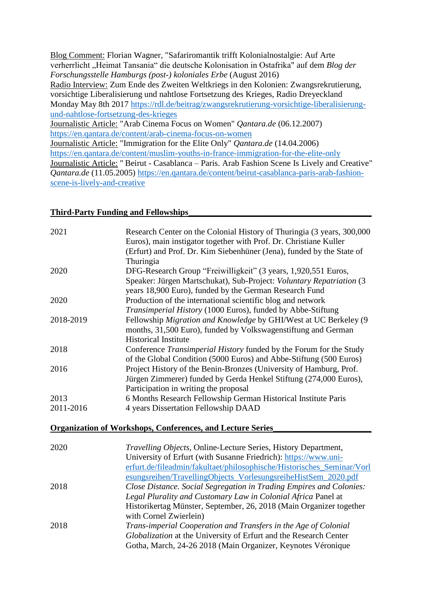Blog Comment: Florian Wagner, "Safariromantik trifft Kolonialnostalgie: Auf Arte verherrlicht "Heimat Tansania" die deutsche Kolonisation in Ostafrika" auf dem *Blog der Forschungsstelle Hamburgs (post-) koloniales Erbe* (August 2016) Radio Interview: Zum Ende des Zweiten Weltkriegs in den Kolonien: Zwangsrekrutierung, vorsichtige Liberalisierung und nahtlose Fortsetzung des Krieges, Radio Dreyeckland Monday May 8th 2017 [https://rdl.de/beitrag/zwangsrekrutierung-vorsichtige-liberalisierung](https://rdl.de/beitrag/zwangsrekrutierung-vorsichtige-liberalisierung-und-nahtlose-fortsetzung-des-krieges)[und-nahtlose-fortsetzung-des-krieges](https://rdl.de/beitrag/zwangsrekrutierung-vorsichtige-liberalisierung-und-nahtlose-fortsetzung-des-krieges) Journalistic Article: "Arab Cinema Focus on Women" *Qantara.de* (06.12.2007) <https://en.qantara.de/content/arab-cinema-focus-on-women> Journalistic Article: "Immigration for the Elite Only" *Qantara.de* (14.04.2006) <https://en.qantara.de/content/muslim-youths-in-france-immigration-for-the-elite-only> Journalistic Article: " Beirut - Casablanca – Paris. Arab Fashion Scene Is Lively and Creative" *Qantara.de* (11.05.2005) [https://en.qantara.de/content/beirut-casablanca-paris-arab-fashion](https://en.qantara.de/content/beirut-casablanca-paris-arab-fashion-scene-is-lively-and-creative)[scene-is-lively-and-creative](https://en.qantara.de/content/beirut-casablanca-paris-arab-fashion-scene-is-lively-and-creative)

#### **Third-Party Funding and Fellowships\_\_\_\_\_\_\_\_\_\_\_\_\_\_\_\_\_\_\_\_\_\_\_\_\_\_\_\_\_\_\_\_\_\_\_\_\_\_\_\_\_\_\_**

| 2021      | Research Center on the Colonial History of Thuringia (3 years, 300,000<br>Euros), main instigator together with Prof. Dr. Christiane Kuller<br>(Erfurt) and Prof. Dr. Kim Siebenhüner (Jena), funded by the State of<br>Thuringia |
|-----------|-----------------------------------------------------------------------------------------------------------------------------------------------------------------------------------------------------------------------------------|
| 2020      | DFG-Research Group "Freiwilligkeit" (3 years, 1,920,551 Euros,                                                                                                                                                                    |
|           | Speaker: Jürgen Martschukat), Sub-Project: Voluntary Repatriation (3<br>years 18,900 Euro), funded by the German Research Fund                                                                                                    |
| 2020      | Production of the international scientific blog and network                                                                                                                                                                       |
|           | Transimperial History (1000 Euros), funded by Abbe-Stiftung                                                                                                                                                                       |
| 2018-2019 | Fellowship Migration and Knowledge by GHI/West at UC Berkeley (9                                                                                                                                                                  |
|           | months, 31,500 Euro), funded by Volkswagenstiftung and German                                                                                                                                                                     |
|           | <b>Historical Institute</b>                                                                                                                                                                                                       |
| 2018      | Conference Transimperial History funded by the Forum for the Study                                                                                                                                                                |
|           | of the Global Condition (5000 Euros) and Abbe-Stiftung (500 Euros)                                                                                                                                                                |
| 2016      | Project History of the Benin-Bronzes (University of Hamburg, Prof.                                                                                                                                                                |
|           | Jürgen Zimmerer) funded by Gerda Henkel Stiftung (274,000 Euros),                                                                                                                                                                 |
|           | Participation in writing the proposal                                                                                                                                                                                             |
| 2013      | 6 Months Research Fellowship German Historical Institute Paris                                                                                                                                                                    |
| 2011-2016 | 4 years Dissertation Fellowship DAAD                                                                                                                                                                                              |
|           | <b>Organization of Workshops, Conferences, and Lecture Series</b>                                                                                                                                                                 |
|           |                                                                                                                                                                                                                                   |
| 2020      | Travelling Objects, Online-Lecture Series, History Department,                                                                                                                                                                    |
|           | University of Erfurt (with Susanne Friedrich): https://www.uni-                                                                                                                                                                   |
|           | erfurt.de/fileadmin/fakultaet/philosophische/Historisches_Seminar/Vorl                                                                                                                                                            |
|           | esungsreihen/TravellingObjects_VorlesungsreiheHistSem_2020.pdf                                                                                                                                                                    |
| 2018      | Close Distance. Social Segregation in Trading Empires and Colonies:                                                                                                                                                               |
|           | Legal Plurality and Customary Law in Colonial Africa Panel at                                                                                                                                                                     |

Historikertag Münster, September, 26, 2018 (Main Organizer together with Cornel Zwierlein) 2018 *Trans-imperial Cooperation and Transfers in the Age of Colonial Globalization* at the University of Erfurt and the Research Center Gotha, March, 24-26 2018 (Main Organizer, Keynotes Véronique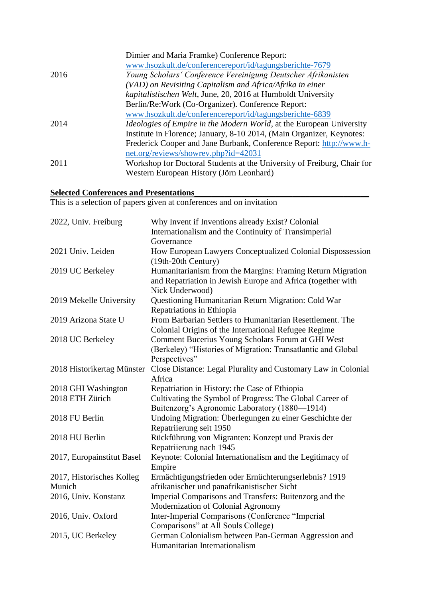| Dimier and Maria Framke) Conference Report:                                  |
|------------------------------------------------------------------------------|
| www.hsozkult.de/conferencereport/id/tagungsberichte-7679                     |
| Young Scholars' Conference Vereinigung Deutscher Afrikanisten                |
| (VAD) on Revisiting Capitalism and Africa/Afrika in einer                    |
| kapitalistischen Welt, June, 20, 2016 at Humboldt University                 |
| Berlin/Re:Work (Co-Organizer). Conference Report:                            |
| www.hsozkult.de/conferencereport/id/tagungsberichte-6839                     |
| <i>Ideologies of Empire in the Modern World</i> , at the European University |
| Institute in Florence; January, 8-10 2014, (Main Organizer, Keynotes:        |
| Frederick Cooper and Jane Burbank, Conference Report: http://www.h-          |
| net.org/reviews/showrev.php?id=42031                                         |
| Workshop for Doctoral Students at the University of Freiburg, Chair for      |
| Western European History (Jörn Leonhard)                                     |
|                                                                              |

#### **Selected Conferences and Presentations**

This is a selection of papers given at conferences and on invitation

| 2022, Univ. Freiburg       | Why Invent if Inventions already Exist? Colonial              |
|----------------------------|---------------------------------------------------------------|
|                            | Internationalism and the Continuity of Transimperial          |
|                            | Governance                                                    |
| 2021 Univ. Leiden          | How European Lawyers Conceptualized Colonial Dispossession    |
|                            | (19th-20th Century)                                           |
| 2019 UC Berkeley           | Humanitarianism from the Margins: Framing Return Migration    |
|                            | and Repatriation in Jewish Europe and Africa (together with   |
|                            | Nick Underwood)                                               |
| 2019 Mekelle University    | Questioning Humanitarian Return Migration: Cold War           |
|                            | Repatriations in Ethiopia                                     |
| 2019 Arizona State U       | From Barbarian Settlers to Humanitarian Resettlement. The     |
|                            | Colonial Origins of the International Refugee Regime          |
| 2018 UC Berkeley           | Comment Bucerius Young Scholars Forum at GHI West             |
|                            | (Berkeley) "Histories of Migration: Transatlantic and Global  |
|                            | Perspectives"                                                 |
| 2018 Historikertag Münster | Close Distance: Legal Plurality and Customary Law in Colonial |
|                            | Africa                                                        |
| 2018 GHI Washington        | Repatriation in History: the Case of Ethiopia                 |
| 2018 ETH Zürich            | Cultivating the Symbol of Progress: The Global Career of      |
|                            | Buitenzorg's Agronomic Laboratory (1880-1914)                 |
| 2018 FU Berlin             | Undoing Migration: Überlegungen zu einer Geschichte der       |
|                            | Repatriierung seit 1950                                       |
| 2018 HU Berlin             | Rückführung von Migranten: Konzept und Praxis der             |
|                            | Repatriierung nach 1945                                       |
| 2017, Europainstitut Basel | Keynote: Colonial Internationalism and the Legitimacy of      |
|                            | Empire                                                        |
| 2017, Historisches Kolleg  | Ermächtigungsfrieden oder Ernüchterungserlebnis? 1919         |
| Munich                     | afrikanischer und panafrikanistischer Sicht                   |
| 2016, Univ. Konstanz       | Imperial Comparisons and Transfers: Buitenzorg and the        |
|                            | Modernization of Colonial Agronomy                            |
| 2016, Univ. Oxford         | Inter-Imperial Comparisons (Conference "Imperial              |
|                            | Comparisons" at All Souls College)                            |
| 2015, UC Berkeley          | German Colonialism between Pan-German Aggression and          |
|                            | Humanitarian Internationalism                                 |